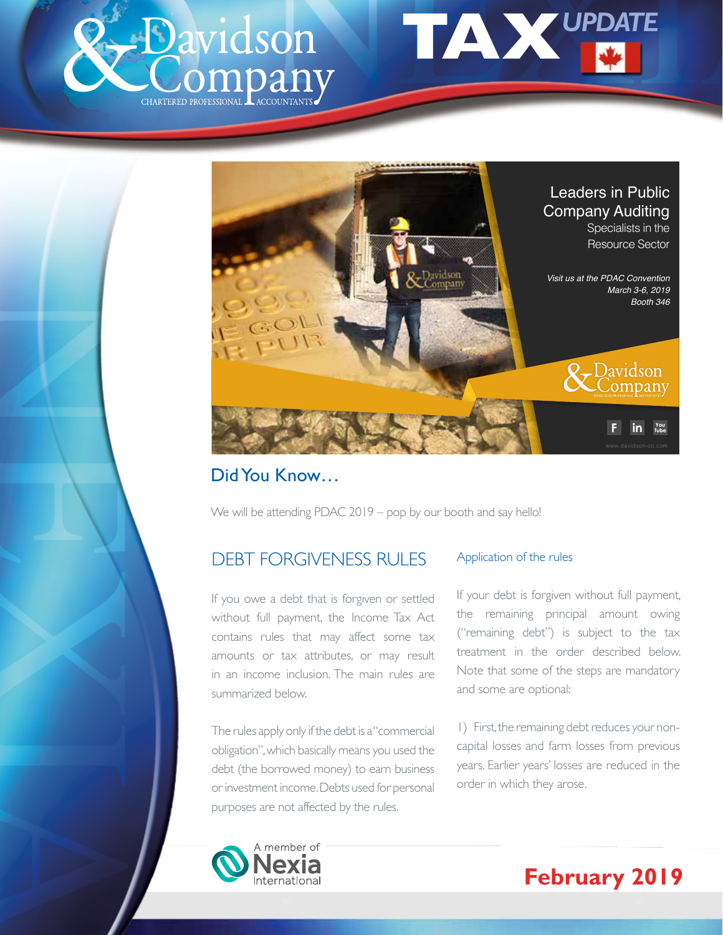





## Did You Know…

We will be attending PDAC 2019 – pop by our booth and say hello!

# DEBT FORGIVENESS RULES

If you owe a debt that is forgiven or settled without full payment, the Income Tax Act contains rules that may affect some tax amounts or tax attributes, or may result in an income inclusion. The main rules are summarized below.

The rules apply only if the debt is a "commercial obligation", which basically means you used the debt (the borrowed money) to earn business or investment income. Debts used for personal purposes are not affected by the rules.

### Application of the rules

If your debt is forgiven without full payment, the remaining principal amount owing ("remaining debt") is subject to the tax treatment in the order described below. Note that some of the steps are mandatory and some are optional:

1) First, the remaining debt reduces your noncapital losses and farm losses from previous years. Earlier years' losses are reduced in the order in which they arose.



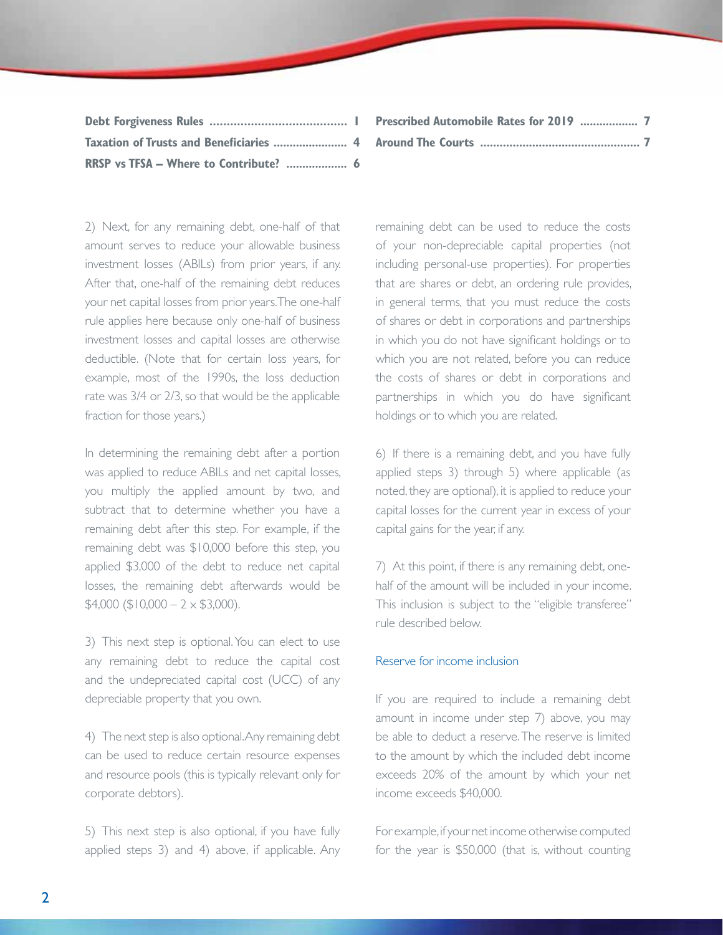| RRSP vs TFSA - Where to Contribute?  6 |  |
|----------------------------------------|--|

**Prescribed Automobile Rates for 2019 .................. 7 Around The Courts ................................................. 7**

2) Next, for any remaining debt, one-half of that amount serves to reduce your allowable business investment losses (ABILs) from prior years, if any. After that, one-half of the remaining debt reduces your net capital losses from prior years. The one-half rule applies here because only one-half of business investment losses and capital losses are otherwise deductible. (Note that for certain loss years, for example, most of the 1990s, the loss deduction rate was 3/4 or 2/3, so that would be the applicable fraction for those years.)

In determining the remaining debt after a portion was applied to reduce ABILs and net capital losses, you multiply the applied amount by two, and subtract that to determine whether you have a remaining debt after this step. For example, if the remaining debt was \$10,000 before this step, you applied \$3,000 of the debt to reduce net capital losses, the remaining debt afterwards would be  $$4,000$  (\$10,000 – 2  $\times$  \$3,000).

3) This next step is optional. You can elect to use any remaining debt to reduce the capital cost and the undepreciated capital cost (UCC) of any depreciable property that you own.

4) The next step is also optional. Any remaining debt can be used to reduce certain resource expenses and resource pools (this is typically relevant only for corporate debtors).

5) This next step is also optional, if you have fully applied steps 3) and 4) above, if applicable. Any remaining debt can be used to reduce the costs of your non-depreciable capital properties (not including personal-use properties). For properties that are shares or debt, an ordering rule provides, in general terms, that you must reduce the costs of shares or debt in corporations and partnerships in which you do not have significant holdings or to which you are not related, before you can reduce the costs of shares or debt in corporations and partnerships in which you do have significant holdings or to which you are related.

6) If there is a remaining debt, and you have fully applied steps 3) through 5) where applicable (as noted, they are optional), it is applied to reduce your capital losses for the current year in excess of your capital gains for the year, if any.

7) At this point, if there is any remaining debt, onehalf of the amount will be included in your income. This inclusion is subject to the "eligible transferee" rule described below.

#### Reserve for income inclusion

If you are required to include a remaining debt amount in income under step 7) above, you may be able to deduct a reserve. The reserve is limited to the amount by which the included debt income exceeds 20% of the amount by which your net income exceeds \$40,000.

For example, if your net income otherwise computed for the year is \$50,000 (that is, without counting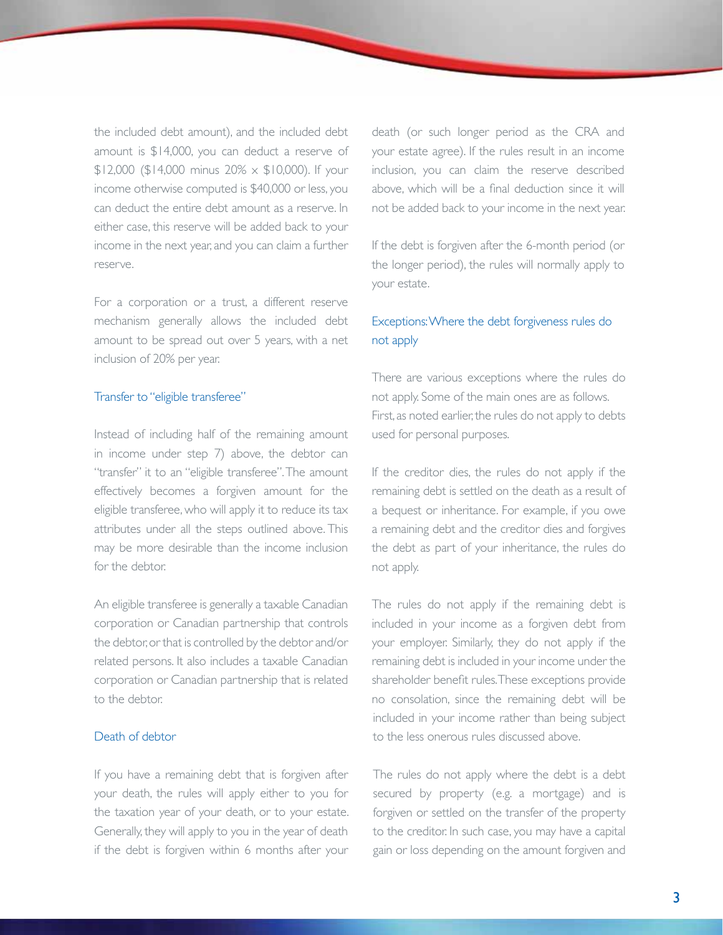the included debt amount), and the included debt amount is \$14,000, you can deduct a reserve of  $$12,000$  (\$14,000 minus 20%  $\times$  \$10,000). If your income otherwise computed is \$40,000 or less, you can deduct the entire debt amount as a reserve. In either case, this reserve will be added back to your income in the next year, and you can claim a further reserve.

For a corporation or a trust, a different reserve mechanism generally allows the included debt amount to be spread out over 5 years, with a net inclusion of 20% per year.

#### Transfer to "eligible transferee"

Instead of including half of the remaining amount in income under step 7) above, the debtor can "transfer" it to an "eligible transferee". The amount effectively becomes a forgiven amount for the eligible transferee, who will apply it to reduce its tax attributes under all the steps outlined above. This may be more desirable than the income inclusion for the debtor.

An eligible transferee is generally a taxable Canadian corporation or Canadian partnership that controls the debtor, or that is controlled by the debtor and/or related persons. It also includes a taxable Canadian corporation or Canadian partnership that is related to the debtor.

#### Death of debtor

If you have a remaining debt that is forgiven after your death, the rules will apply either to you for the taxation year of your death, or to your estate. Generally, they will apply to you in the year of death if the debt is forgiven within 6 months after your death (or such longer period as the CRA and your estate agree). If the rules result in an income inclusion, you can claim the reserve described above, which will be a final deduction since it will not be added back to your income in the next year.

If the debt is forgiven after the 6-month period (or the longer period), the rules will normally apply to your estate.

### Exceptions: Where the debt forgiveness rules do not apply

There are various exceptions where the rules do not apply. Some of the main ones are as follows. First, as noted earlier, the rules do not apply to debts used for personal purposes.

If the creditor dies, the rules do not apply if the remaining debt is settled on the death as a result of a bequest or inheritance. For example, if you owe a remaining debt and the creditor dies and forgives the debt as part of your inheritance, the rules do not apply.

The rules do not apply if the remaining debt is included in your income as a forgiven debt from your employer. Similarly, they do not apply if the remaining debt is included in your income under the shareholder benefit rules. These exceptions provide no consolation, since the remaining debt will be included in your income rather than being subject to the less onerous rules discussed above.

The rules do not apply where the debt is a debt secured by property (e.g. a mortgage) and is forgiven or settled on the transfer of the property to the creditor. In such case, you may have a capital gain or loss depending on the amount forgiven and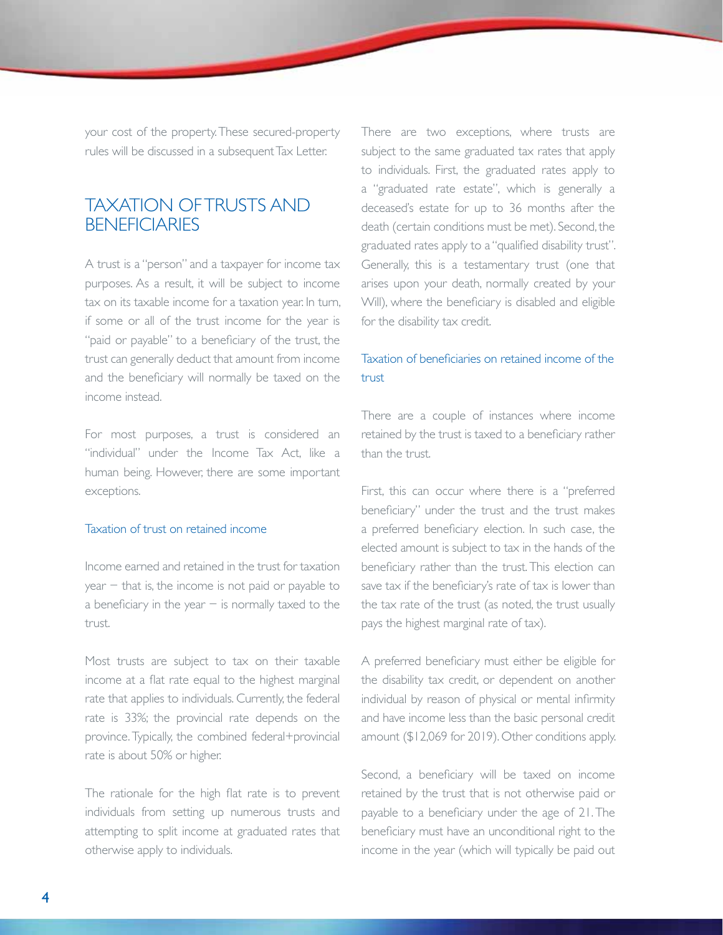your cost of the property. These secured-property rules will be discussed in a subsequent Tax Letter.

## TAXATION OF TRUSTS AND **BENEFICIARIES**

A trust is a "person" and a taxpayer for income tax purposes. As a result, it will be subject to income tax on its taxable income for a taxation year. In turn, if some or all of the trust income for the year is "paid or payable" to a beneficiary of the trust, the trust can generally deduct that amount from income and the beneficiary will normally be taxed on the income instead.

For most purposes, a trust is considered an "individual" under the Income Tax Act, like a human being. However, there are some important exceptions.

#### Taxation of trust on retained income

Income earned and retained in the trust for taxation year − that is, the income is not paid or payable to a beneficiary in the year − is normally taxed to the trust.

Most trusts are subject to tax on their taxable income at a flat rate equal to the highest marginal rate that applies to individuals. Currently, the federal rate is 33%; the provincial rate depends on the province. Typically, the combined federal+provincial rate is about 50% or higher.

The rationale for the high flat rate is to prevent individuals from setting up numerous trusts and attempting to split income at graduated rates that otherwise apply to individuals.

There are two exceptions, where trusts are subject to the same graduated tax rates that apply to individuals. First, the graduated rates apply to a "graduated rate estate", which is generally a deceased's estate for up to 36 months after the death (certain conditions must be met). Second, the graduated rates apply to a "qualified disability trust". Generally, this is a testamentary trust (one that arises upon your death, normally created by your Will), where the beneficiary is disabled and eligible for the disability tax credit.

### Taxation of beneficiaries on retained income of the trust

There are a couple of instances where income retained by the trust is taxed to a beneficiary rather than the trust.

First, this can occur where there is a "preferred beneficiary" under the trust and the trust makes a preferred beneficiary election. In such case, the elected amount is subject to tax in the hands of the beneficiary rather than the trust. This election can save tax if the beneficiary's rate of tax is lower than the tax rate of the trust (as noted, the trust usually pays the highest marginal rate of tax).

A preferred beneficiary must either be eligible for the disability tax credit, or dependent on another individual by reason of physical or mental infirmity and have income less than the basic personal credit amount (\$12,069 for 2019). Other conditions apply.

Second, a beneficiary will be taxed on income retained by the trust that is not otherwise paid or payable to a beneficiary under the age of 21. The beneficiary must have an unconditional right to the income in the year (which will typically be paid out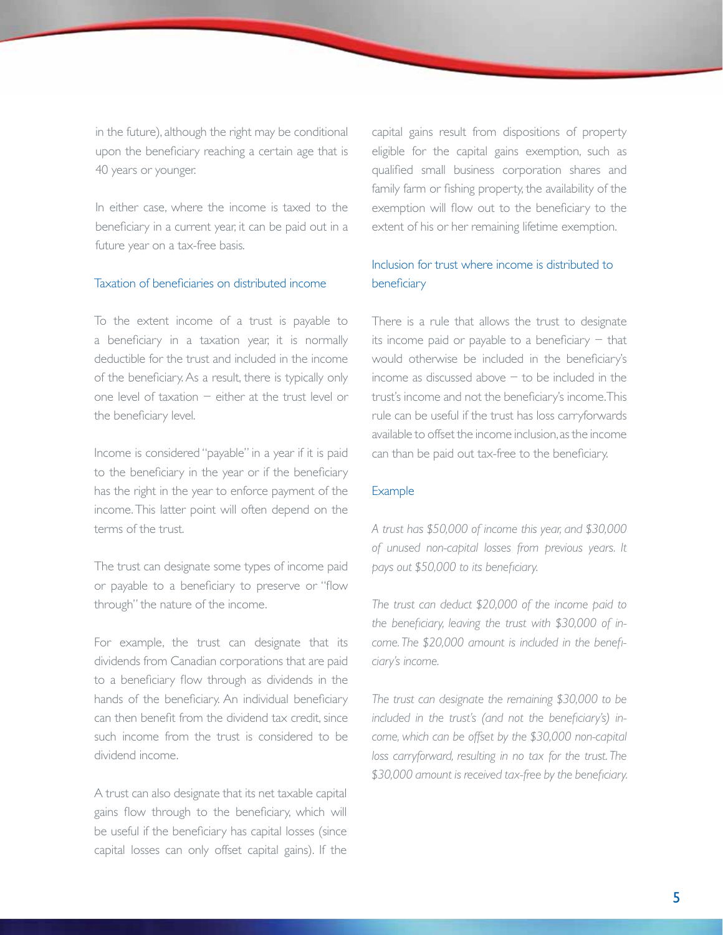in the future), although the right may be conditional upon the beneficiary reaching a certain age that is 40 years or younger.

In either case, where the income is taxed to the beneficiary in a current year, it can be paid out in a future year on a tax-free basis.

#### Taxation of beneficiaries on distributed income

To the extent income of a trust is payable to a beneficiary in a taxation year, it is normally deductible for the trust and included in the income of the beneficiary. As a result, there is typically only one level of taxation − either at the trust level or the beneficiary level.

Income is considered "payable" in a year if it is paid to the beneficiary in the year or if the beneficiary has the right in the year to enforce payment of the income. This latter point will often depend on the terms of the trust.

The trust can designate some types of income paid or payable to a beneficiary to preserve or "flow through" the nature of the income.

For example, the trust can designate that its dividends from Canadian corporations that are paid to a beneficiary flow through as dividends in the hands of the beneficiary. An individual beneficiary can then benefit from the dividend tax credit, since such income from the trust is considered to be dividend income.

A trust can also designate that its net taxable capital gains flow through to the beneficiary, which will be useful if the beneficiary has capital losses (since capital losses can only offset capital gains). If the

capital gains result from dispositions of property eligible for the capital gains exemption, such as qualified small business corporation shares and family farm or fishing property, the availability of the exemption will flow out to the beneficiary to the extent of his or her remaining lifetime exemption.

### Inclusion for trust where income is distributed to beneficiary

There is a rule that allows the trust to designate its income paid or payable to a beneficiary − that would otherwise be included in the beneficiary's income as discussed above − to be included in the trust's income and not the beneficiary's income. This rule can be useful if the trust has loss carryforwards available to offset the income inclusion, as the income can than be paid out tax-free to the beneficiary.

#### Example

*A trust has \$50,000 of income this year, and \$30,000 of unused non-capital losses from previous years. It pays out \$50,000 to its beneficiary.*

*The trust can deduct \$20,000 of the income paid to the beneficiary, leaving the trust with \$30,000 of income. The \$20,000 amount is included in the beneficiary's income.*

*The trust can designate the remaining \$30,000 to be included in the trust's (and not the beneficiary's) income, which can be offset by the \$30,000 non-capital*  loss carryforward, resulting in no tax for the trust. The *\$30,000 amount is received tax-free by the beneficiary.*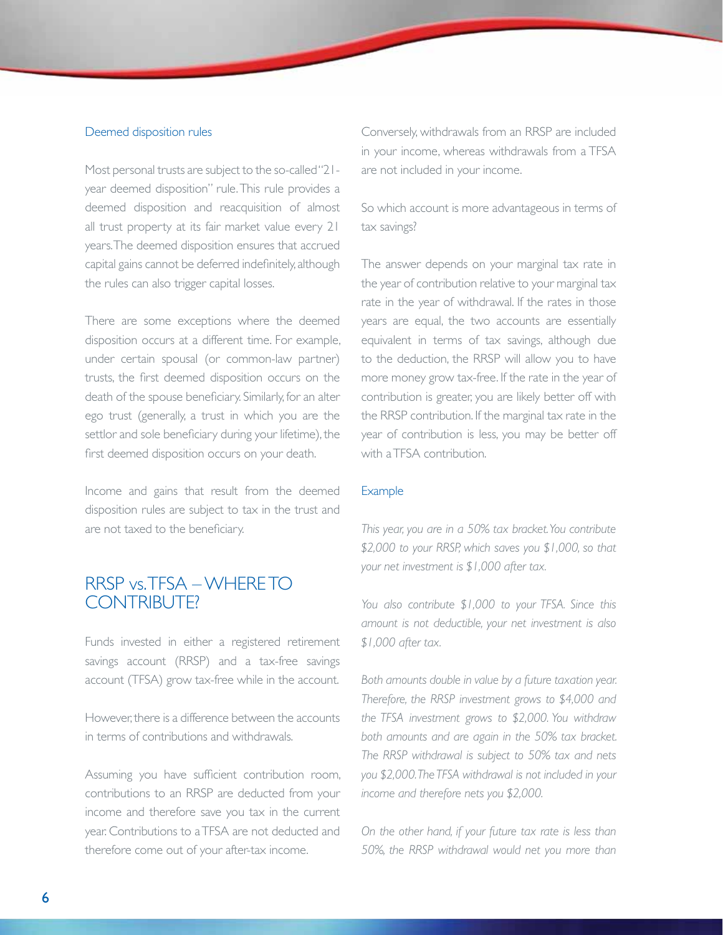#### Deemed disposition rules

Most personal trusts are subject to the so-called "21year deemed disposition" rule. This rule provides a deemed disposition and reacquisition of almost all trust property at its fair market value every 21 years. The deemed disposition ensures that accrued capital gains cannot be deferred indefinitely, although the rules can also trigger capital losses.

There are some exceptions where the deemed disposition occurs at a different time. For example, under certain spousal (or common-law partner) trusts, the first deemed disposition occurs on the death of the spouse beneficiary. Similarly, for an alter ego trust (generally, a trust in which you are the settlor and sole beneficiary during your lifetime), the first deemed disposition occurs on your death.

Income and gains that result from the deemed disposition rules are subject to tax in the trust and are not taxed to the beneficiary.

## RRSP vs. TFSA – WHERE TO CONTRIBUTE?

Funds invested in either a registered retirement savings account (RRSP) and a tax-free savings account (TFSA) grow tax-free while in the account.

However there is a difference between the accounts in terms of contributions and withdrawals.

Assuming you have sufficient contribution room, contributions to an RRSP are deducted from your income and therefore save you tax in the current year. Contributions to a TFSA are not deducted and therefore come out of your after-tax income.

Conversely, withdrawals from an RRSP are included in your income, whereas withdrawals from a TFSA are not included in your income.

So which account is more advantageous in terms of tax savings?

The answer depends on your marginal tax rate in the year of contribution relative to your marginal tax rate in the year of withdrawal. If the rates in those years are equal, the two accounts are essentially equivalent in terms of tax savings, although due to the deduction, the RRSP will allow you to have more money grow tax-free. If the rate in the year of contribution is greater, you are likely better off with the RRSP contribution. If the marginal tax rate in the year of contribution is less, you may be better off with a TFSA contribution.

#### **Example**

*This year, you are in a 50% tax bracket. You contribute \$2,000 to your RRSP, which saves you \$1,000, so that your net investment is \$1,000 after tax.*

*You also contribute \$1,000 to your TFSA. Since this amount is not deductible, your net investment is also \$1,000 after tax.*

*Both amounts double in value by a future taxation year. Therefore, the RRSP investment grows to \$4,000 and the TFSA investment grows to \$2,000. You withdraw both amounts and are again in the 50% tax bracket. The RRSP withdrawal is subject to 50% tax and nets you \$2,000. The TFSA withdrawal is not included in your income and therefore nets you \$2,000.*

*On the other hand, if your future tax rate is less than 50%, the RRSP withdrawal would net you more than*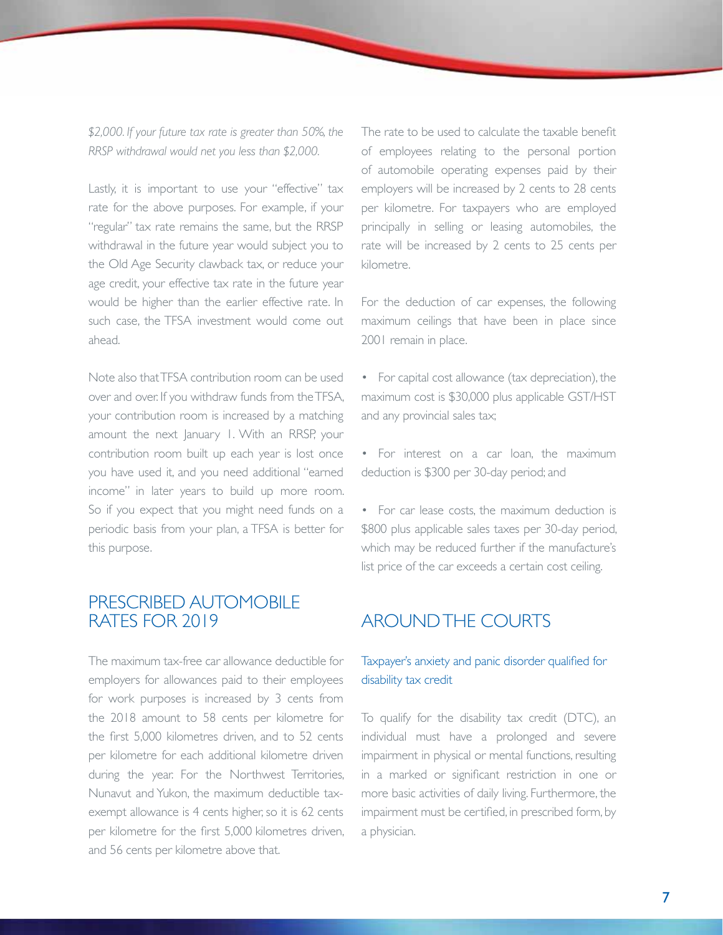*\$2,000. If your future tax rate is greater than 50%, the RRSP withdrawal would net you less than \$2,000.*

Lastly, it is important to use your "effective" tax rate for the above purposes. For example, if your "regular" tax rate remains the same, but the RRSP withdrawal in the future year would subject you to the Old Age Security clawback tax, or reduce your age credit, your effective tax rate in the future year would be higher than the earlier effective rate. In such case, the TFSA investment would come out ahead.

Note also that TFSA contribution room can be used over and over. If you withdraw funds from the TFSA, your contribution room is increased by a matching amount the next January 1. With an RRSP, your contribution room built up each year is lost once you have used it, and you need additional "earned income" in later years to build up more room. So if you expect that you might need funds on a periodic basis from your plan, a TFSA is better for this purpose.

## PRESCRIBED AUTOMOBILE RATES FOR 2019

The maximum tax-free car allowance deductible for employers for allowances paid to their employees for work purposes is increased by 3 cents from the 2018 amount to 58 cents per kilometre for the first 5,000 kilometres driven, and to 52 cents per kilometre for each additional kilometre driven during the year. For the Northwest Territories, Nunavut and Yukon, the maximum deductible taxexempt allowance is 4 cents higher, so it is 62 cents per kilometre for the first 5,000 kilometres driven, and 56 cents per kilometre above that.

The rate to be used to calculate the taxable benefit of employees relating to the personal portion of automobile operating expenses paid by their employers will be increased by 2 cents to 28 cents per kilometre. For taxpayers who are employed principally in selling or leasing automobiles, the rate will be increased by 2 cents to 25 cents per kilometre.

For the deduction of car expenses, the following maximum ceilings that have been in place since 2001 remain in place.

• For capital cost allowance (tax depreciation), the maximum cost is \$30,000 plus applicable GST/HST and any provincial sales tax;

• For interest on a car loan, the maximum deduction is \$300 per 30-day period; and

• For car lease costs, the maximum deduction is \$800 plus applicable sales taxes per 30-day period, which may be reduced further if the manufacture's list price of the car exceeds a certain cost ceiling.

## AROUND THE COURTS

### Taxpayer's anxiety and panic disorder qualified for disability tax credit

To qualify for the disability tax credit (DTC), an individual must have a prolonged and severe impairment in physical or mental functions, resulting in a marked or significant restriction in one or more basic activities of daily living. Furthermore, the impairment must be certified, in prescribed form, by a physician.